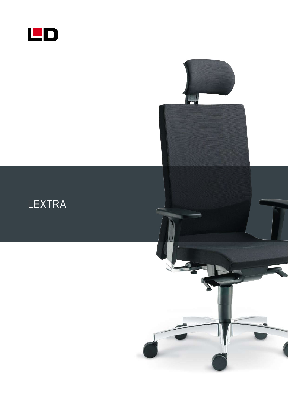

LEXTRA

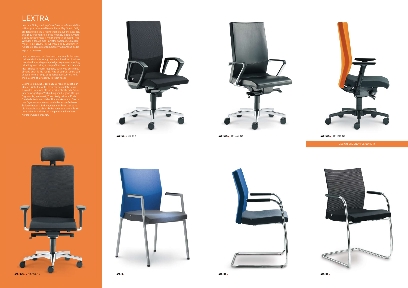

**472-SY** + BR-472 **470-SYS** + BR-450-N6 **470-SYS** + BR-236-N1



## LEXTRA

Lextra je židle, která je předurčena se stát tou ideální volbou pro mnohé uživatele i interiéry. V její třídě, představuje špičku v jedinečném skloubení elegance, designu, ergonomie, užitné hodnoty, spolehlivosti a ceny. Ideální volba v mnoha úhlech pohledu. To je výsledek a taková byla i prvotní myšlenka. Samozřejmostí je, že uživatel si výběrem z řady volitelných funkčních doplňků svou Lextru vyladí přesně podle svých požadavků.

Lextra is a chair that has been destined to become combination of elegance, design, ergonomics, utility, reliability and price, it is top of its class. Lextra is an ideal choice in many respects, such was our initial

Lextra ist ein Stuhl, der dazu vorbestimmt ist, zur idealen Wahl für viele Benutzer sowie Interieure zuwerden. In seiner Klasse repräsentiert er die Spitze inder einzigartigen Verbindung von Eleganz, Design, Ergonomie, Nutzwert, Zuverlässigkeit und Preis. Dieideale Wahl von vielen Blickwinkeln aus. Das ist das Ergebnis und so war auch der erste Gedanke. Es istselbstverständlich, dass der Benutzer durch die Auswahl aus einer Reihe von optionalem Funktionszubehör seinen Lextra genau nach seinen Anforderungen ergänzt.



**480-SYS** + BR-550-N6 **460-K 492-KZ 495-KZ**







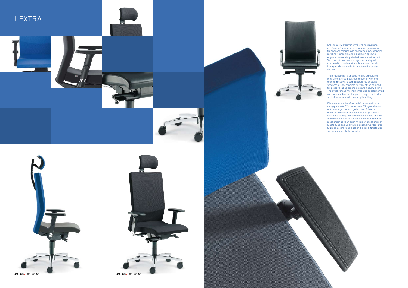Ergonomicky tvarované výškově nastavitelné celočalouněné opěradlo, spolu s ergonomicky tvarovaným čalouněným sedákem a synchronním mechanismem dokonale naplňuje správnou ergonomii sezení a požadavky na zdravé sezení. Synchronní mechanismus je možné doplnit i nezávislým nastavením úhlu sedáku. Sedák Lextry může být doplněn i nastavení hloubky

The ergonomically shaped height-adjustable fully upholstered backrest, together with the ergonomically shaped upholstered seatand synchronous mechanism fully meet the demand for proper seating ergonomics and healthy sitting. The synchronous mechanismcan be supplemented with independent seat angle settings. The Lextra seat alsoc omes with seat depth settings.



Die ergonomisch geformte höhenverstellbare vollgepolsterte Rückenlehne erfülltgemeinsam mit dem ergonomisch geformten Polstersitz und dem Synchronmechanismus in perfekter Weise die richtige Ergonomie des Sitzens und die Anforderungen an gesundes Sitzen. Der Synchron mechanismus kann auch mit einer unabhängigen Einstellung des Sitzwinkels ergänzt werden. Der Sitz des Lextra kann auch mit einer Sitztiefenver-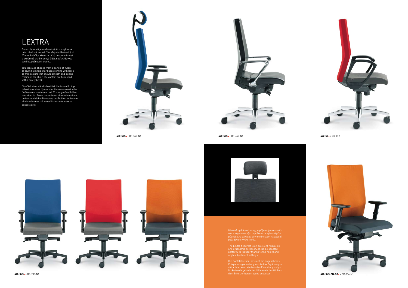## LEXTRA

Samozřejmostí je možnost výběru z nylonové nebo hliníkové verze kříže, vždy doplěné velkými 65 mm kolečky, které zaručují bezproblémový a extrémně snadný pohyb židle, navíc vždy vybavené bezpečnostní brzdou.

You can also choose from a range of nylon or aluminium five-star bases coming with large 65 mm castors that ensure smooth and gliding motion of the chair. The castors are furnished with a safety break.

Eine Selbstverständlichkeit ist die Auswahlmöglichkeit aus einer Nylon- oder Aluminiumversiondes Fußkreuzes, das immer mit 65 mm großen Rollen versehen ist. Diese garantieren eineproblemlose und extrem leichte Bewegung desStuhles, außerdem sind sie immer mit einerSicherheitsbremse ausgestattet.





Hlavová opěrka u Lextry, je příjemným relaxačním a ergonomickým doplňkem. Je výborně přizpůsobitelná uživateli díky možnostem nastavení požadované výšky i úhlu.

The Lextra headrest is an excellent relaxation and ergonomic accessory. It can be adapted perfectly to theuser thanks to the height and angle adjustment settings.

Die Kopfstütze bei Lextra ist ein angenehmes Entspannungs- und ergonomisches Ergänzungsstück. Man kann sie dank den Einstellungsmöglichkeiten dergeforderten Höhe sowie des Winkels dem Benutzer hervorragend anpassen. **470-SYS-PN-BO** + BR-236-N1



**480-SYS** + BR-550-N6 **470-SYS** + BR-450-N6 **472-SY** + BR-472





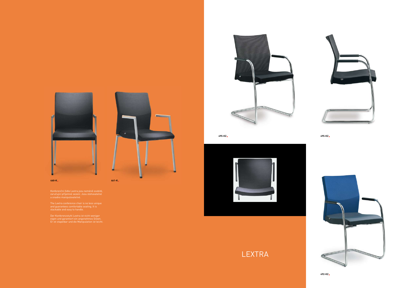

Konferenční židle Lextra jsou neméně osobité, zaručující příjemné sezení. Jsou stohovatelné

The Lextra conference chair is no less unique and guarantees comfortable seating. It is

Der Konferenzstuhl Lextra ist nicht weniger eigen und garantiert ein angenehmes Sitzen. Er ist stapelbar und die Manipulation ist leicht.







**495-KZ 495-KZ**





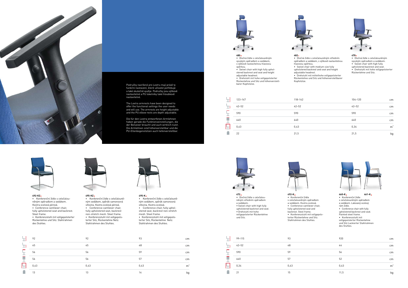



The Lextra armrests have been designed to offer the functional settings the user needs and will use. The armrests are height adjustable and the PU elbow rests are depth adjustable.

stered backrest and seat and height adjustable headrest. • Drehstuhl mit hohe vollgepolsterter Rückenlehne und Sitz und höhenverstellbarer Kopf

Die für den Lextra entworfenen Armlehnen haben gerade die Funktionseinstellungen, die der Benutzer braucht und auch wirklich nutzt. Die Armlehnen sind höhenverstellbar und die PU-Ellenbogenstützen auch tiefenverstellbar.



**480** • Otočná židle s celočalouněným vysokým opěradlem a sedákem, s výškově nastavitelnou hlavovou opěrkou. • Swivel chair with high fully uphol-

123–147

42–52 590 640

노

缸

三里

 $\overline{\mathbb{F}}$ T.

0,43 22

• Otočná židle s celočalouněným středním opěradlem a sedákem, s výškově nastavitelnou

• Swivel chair with medium size fully upholstered backrest and seat and height



• Drehstuhl mit mittelhohe vollgepolsterter Rückenlehne und Sitz und höhenverstellbarer



• Otočná židle s celočalouněným vysokým opěradlem a sedákem. • Swivel chair with high fully upholstered backrest and seat. • Drehstuhl mit hohe vollgepolsterter Rückenlehne und Sitz.



| fstütze. | . .         |           |                |
|----------|-------------|-----------|----------------|
|          |             |           |                |
|          | $118 - 142$ | 104-120   | cm             |
|          | $42 - 52$   | $42 - 52$ | cm             |
|          | 590         | 590       | cm             |
|          | 640         | 640       | cm             |
|          | 0,43        | 0,34      | m <sup>3</sup> |
|          | 21,5        | 21,5      | kg             |



**492-KZ**

- • Konferenční židle s celočalouněným opěradlem a sedákem. Kostra ocelová pérová.
- • Conference cantilever chair, fully upholstered seat and backrest. Steel frame.
- • Konferenzstuhl mit vollgepolsterter Rückenlehne und Sitz. Stahlrahmen des Stuhles.



**495-K** • Konferenční židle s celočalouněným sedákem, opěrák samonosná síťovina. Kostra ocelová. • Conference chair, fully upholstered seat, backrest non-stretch mesh. Steel frame. • Konferenzstuhl mit vollgepolsterter Sitz, Rückenlehne Netz. Stahlrahmen des Stuhles.

|                         | 92   | 92   | 93   | cm             |
|-------------------------|------|------|------|----------------|
|                         | 45   | 45   | 48   | cm             |
| سيست                    | 56   | 56   | 59   | cm             |
| <b>Contract</b><br>--   | 56   | 56   | 57   | cm             |
| <b>The Company</b><br>∟ | 0,43 | 0,43 | 0,43 | m <sup>3</sup> |
|                         | 13   | 13   | 14   | kg             |



**495-KZ** • Konferenční židle s celočalouněným sedákem, opěrák samonosná síťovina. Kostra ocelová pérová. • Conference cantilever chair, fully upholstered seat, backrest non-stretch mesh. Steel frame. • Konferenzstuhl mit vollgepolsterter Sitz, Rückenlehne Netz. Stahlrahmen des Stuhles.



## **472** • Otočná židle s celočalouněným středním opěradlem a sedákem. • Swivel chair with high fully upholstered backrest and seat. • Drehstuhl mit hohe vollgepolsterter Rückenlehne und Sitz.



**492-K**

• Konferenční židle s celočalouněným opěradlem a sedákem. Kostra ocelová. • Conference cantilever chair, fully upholstered seat and backrest. Steel frame. • Konferenzstuhl mit vollgepolsterter Rückenlehne und Sitz.

Stahlrahmen des Stuhles. 노 99–115 93 42–52 48 団 医舌骨 590 59 640 57 0,34 0,43 ñ. 21 15



## **460-K** • Konferenční židle s celočalouněným opěradlem a sedákem. Lakovaný ocelový rám židle. • Conference chair with fully upholstered backrest and seat. Painted steel frame. • Konferenzstuhl mit vollgepolsterter Rückenlehne und Sitz Lackierter Stahlrahmen des Stuhles. **461-K**

| 920                  | cm     |
|----------------------|--------|
| 44                   | cm     |
| 56                   | cm     |
| 52                   | cm     |
| 0,43                 | $m^3$  |
| $\sim$ $\sim$ $\sim$ | $\sim$ |